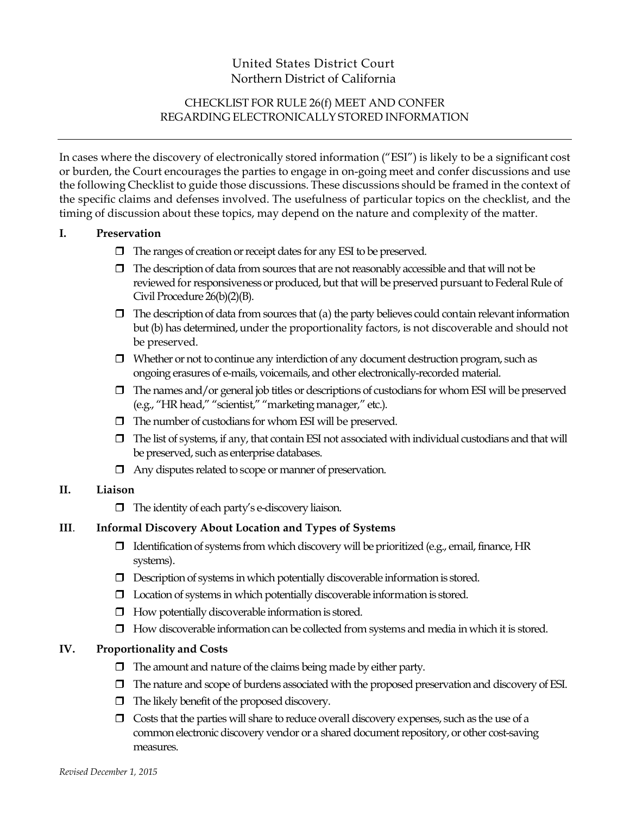# United States District Court Northern District of California

## CHECKLIST FOR RULE 26(f) MEET AND CONFER REGARDING ELECTRONICALLY STORED INFORMATION

In cases where the discovery of electronically stored information ("ESI") is likely to be a significant cost or burden, the Court encourages the parties to engage in on-going meet and confer discussions and use the following Checklist to guide those discussions. These discussions should be framed in the context of the specific claims and defenses involved. The usefulness of particular topics on the checklist, and the timing of discussion about these topics, may depend on the nature and complexity of the matter.

#### **I. Preservation**

- The ranges of creation or receipt dates for any ESI to be preserved.
- $\Box$  The description of data from sources that are not reasonably accessible and that will not be reviewed for responsiveness or produced, but that will be preserved pursuant to Federal Rule of Civil Procedure 26(b)(2)(B).
- $\Box$  The description of data from sources that (a) the party believes could contain relevant information but (b) has determined, under the proportionality factors, is not discoverable and should not be preserved.
- $\Box$  Whether or not to continue any interdiction of any document destruction program, such as ongoing erasures of e-mails, voicemails, and other electronically-recorded material.
- $\Box$  The names and/or general job titles or descriptions of custodians for whom ESI will be preserved (e.g., "HR head," "scientist," "marketing manager," etc.).
- $\Box$  The number of custodians for whom ESI will be preserved.
- $\Box$  The list of systems, if any, that contain ESI not associated with individual custodians and that will be preserved, such as enterprise databases.
- Any disputes related to scope or manner of preservation.

## **II. Liaison**

 $\Box$  The identity of each party's e-discovery liaison.

## **III**. **Informal Discovery About Location and Types of Systems**

- $\Box$  Identification of systems from which discovery will be prioritized (e.g., email, finance, HR systems).
- $\Box$  Description of systems in which potentially discoverable information is stored.
- $\Box$  Location of systems in which potentially discoverable information is stored.
- $\Box$  How potentially discoverable information is stored.
- $\Box$  How discoverable information can be collected from systems and media in which it is stored.

## **IV. Proportionality and Costs**

- $\Box$  The amount and nature of the claims being made by either party.
- The nature and scope of burdens associated with the proposed preservation and discovery of ESI.
- $\Box$  The likely benefit of the proposed discovery.
- $\Box$  Costs that the parties will share to reduce overall discovery expenses, such as the use of a common electronic discovery vendor or a shared document repository, or other cost-saving measures.